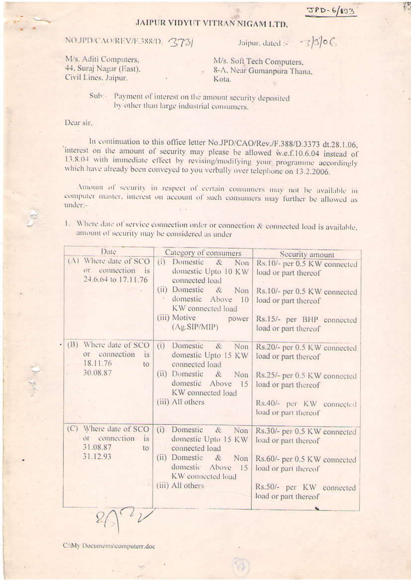## JAIPUR VIDYUT VITRAN NIGAM LTD.

## NO.JPD/CAO/REV/F.388/D. 373

Jaipur, dated :-

 $-3)30C$ 

M/s. Aditi Computers, 44. Suraj Nagar (East). Civil Lines, Jaipur.

M/s. Soft Tech Computers, 8-A, Near Gumanpura Thana, Kota.

Sub:-Payment of interest on the amount security deposited by other than large industrial consumers.

Dear sir.

In continuation to this office letter No.JPD/CAO/Rev./F.388/D.3373 dt.28.1.06, 'interest on the amount of security may please be allowed w.e.f.10.6.04 instead of 13.8.04 with immediate effect by revising/modifying your programme accordingly which have already been conveyed to you verbally over telephone on 13.2.2006.

Amount of security in respect of certain consumers may not be available in computer master, interest on account of such consumers may further be allowed as under:-

1. Where date of service connection order or connection & connected load is available. amount of security may be considered as under

| Date                                                                        | Category of consumers                                                                                                                                                          | Security amount                                                                                                                                                   |
|-----------------------------------------------------------------------------|--------------------------------------------------------------------------------------------------------------------------------------------------------------------------------|-------------------------------------------------------------------------------------------------------------------------------------------------------------------|
| (A) Where date of SCO<br>connection is<br>01<br>24.6.64 to 17.11.76         | (i)<br>Domestic &<br>Non<br>domestic Upto 10 KW<br>connected load<br>(ii) Domestic &<br>Non<br>domestic Above 10<br>KW connected load<br>(iii) Motive<br>power<br>(Ag.SIP/MIP) | Rs.10/- per 0.5 KW connected<br>load or part thereof<br>Rs.10/- per 0.5 KW connected<br>load or part thereof<br>Rs.15/- per BHP connected<br>load or part thereof |
| (B) Where date of SCO<br>or connection<br>is.<br>18.11.76<br>to<br>30.08.87 | (i) Domestic<br>$\alpha$<br>Non<br>domestic Upto 15 KW<br>connected load<br>(ii) Domestic<br>&<br>Non<br>domestic Above 15<br>KW connected load<br>(iii) All others            | Rs.20/- per 0.5 KW connected<br>load or part thereof<br>Rs.25/- per 0.5 KW connected<br>load or part thereof<br>Rs.40/- per KW connected<br>load or part thereof  |
| (C) Where date of SCO<br>or connection is<br>31.08.87<br>to<br>31.12.93     | (i) Domestic<br>&<br>Non <sup>-</sup><br>domestic Upto 15 KW<br>connected load<br>(ii) Domestic & Non<br>domestic Above 15<br>KW connected load<br>(iii) All others            | Rs.30/- per 0.5 KW connected<br>load or part thereof<br>Rs.60/- per 0.5 KW connected<br>load or part thereof<br>Rs.50/- per KW connected<br>load or part thereof  |

C:\My Documents\computerr.doc